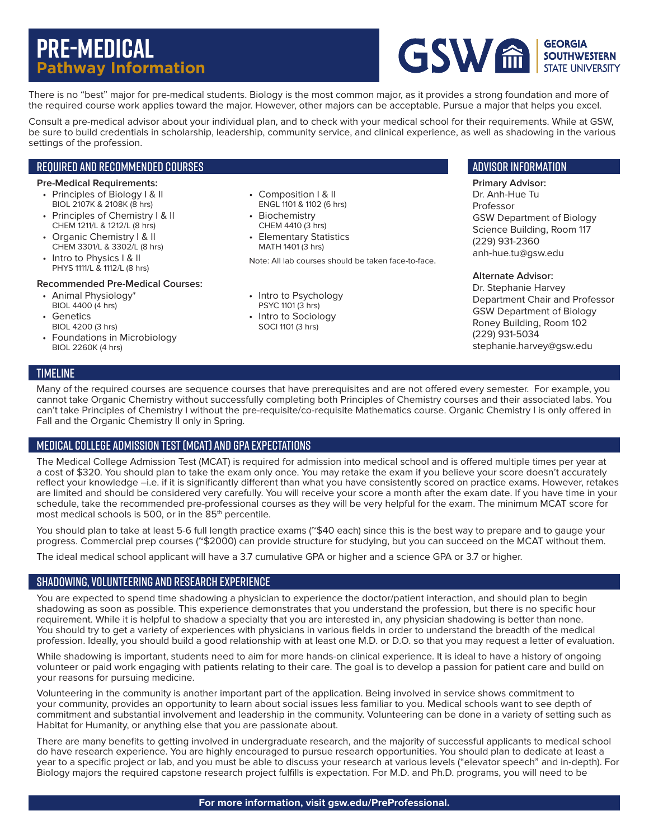# **Pre-Medical Pathway Information**



There is no "best" major for pre-medical students. Biology is the most common major, as it provides a strong foundation and more of the required course work applies toward the major. However, other majors can be acceptable. Pursue a major that helps you excel.

Consult a pre-medical advisor about your individual plan, and to check with your medical school for their requirements. While at GSW, be sure to build credentials in scholarship, leadership, community service, and clinical experience, as well as shadowing in the various settings of the profession.

### Required and Recommended Courses

#### **Pre-Medical Requirements:**

- Principles of Biology I & II BIOL 2107K & 2108K (8 hrs)
- Principles of Chemistry I & II CHEM 1211/L & 1212/L (8 hrs)
- Organic Chemistry I & II CHEM 3301/L & 3302/L (8 hrs)
- Intro to Physics | & II
- PHYS 1111/L & 1112/L (8 hrs)

#### **Recommended Pre-Medical Courses:**

- Animal Physiology\* BIOL 4400 (4 hrs)
- Genetics BIOL 4200 (3 hrs)
- Foundations in Microbiology BIOL 2260K (4 hrs)
- Composition I & II ENGL 1101 & 1102 (6 hrs)
- Biochemistry CHEM 4410 (3 hrs)
- Elementary Statistics MATH 1401 (3 hrs)

Note: All lab courses should be taken face-to-face.

- Intro to Psychology PSYC 1101 (3 hrs)
- Intro to Sociology SOCI 1101 (3 hrs)

## Advisor information

**Primary Advisor:** Dr. Anh-Hue Tu Professor GSW Department of Biology Science Building, Room 117 (229) 931-2360 anh-hue.tu@gsw.edu

#### **Alternate Advisor:**

Dr. Stephanie Harvey Department Chair and Professor GSW Department of Biology Roney Building, Room 102 (229) 931-5034 stephanie.harvey@gsw.edu

## **TIMELINE**

Many of the required courses are sequence courses that have prerequisites and are not offered every semester. For example, you cannot take Organic Chemistry without successfully completing both Principles of Chemistry courses and their associated labs. You can't take Principles of Chemistry I without the pre-requisite/co-requisite Mathematics course. Organic Chemistry I is only offered in Fall and the Organic Chemistry II only in Spring.

## Medical College Admission Test (MCAT) and GPA Expectations

The Medical College Admission Test (MCAT) is required for admission into medical school and is offered multiple times per year at a cost of \$320. You should plan to take the exam only once. You may retake the exam if you believe your score doesn't accurately reflect your knowledge –i.e. if it is significantly different than what you have consistently scored on practice exams. However, retakes are limited and should be considered very carefully. You will receive your score a month after the exam date. If you have time in your schedule, take the recommended pre-professional courses as they will be very helpful for the exam. The minimum MCAT score for most medical schools is 500, or in the 85<sup>th</sup> percentile.

You should plan to take at least 5-6 full length practice exams (~\$40 each) since this is the best way to prepare and to gauge your progress. Commercial prep courses (~\$2000) can provide structure for studying, but you can succeed on the MCAT without them.

The ideal medical school applicant will have a 3.7 cumulative GPA or higher and a science GPA or 3.7 or higher.

## Shadowing, Volunteering and Research Experience

You are expected to spend time shadowing a physician to experience the doctor/patient interaction, and should plan to begin shadowing as soon as possible. This experience demonstrates that you understand the profession, but there is no specific hour requirement. While it is helpful to shadow a specialty that you are interested in, any physician shadowing is better than none. You should try to get a variety of experiences with physicians in various fields in order to understand the breadth of the medical profession. Ideally, you should build a good relationship with at least one M.D. or D.O. so that you may request a letter of evaluation.

While shadowing is important, students need to aim for more hands-on clinical experience. It is ideal to have a history of ongoing volunteer or paid work engaging with patients relating to their care. The goal is to develop a passion for patient care and build on your reasons for pursuing medicine.

Volunteering in the community is another important part of the application. Being involved in service shows commitment to your community, provides an opportunity to learn about social issues less familiar to you. Medical schools want to see depth of commitment and substantial involvement and leadership in the community. Volunteering can be done in a variety of setting such as Habitat for Humanity, or anything else that you are passionate about.

There are many benefits to getting involved in undergraduate research, and the majority of successful applicants to medical school do have research experience. You are highly encouraged to pursue research opportunities. You should plan to dedicate at least a year to a specific project or lab, and you must be able to discuss your research at various levels ("elevator speech" and in-depth). For Biology majors the required capstone research project fulfills is expectation. For M.D. and Ph.D. programs, you will need to be